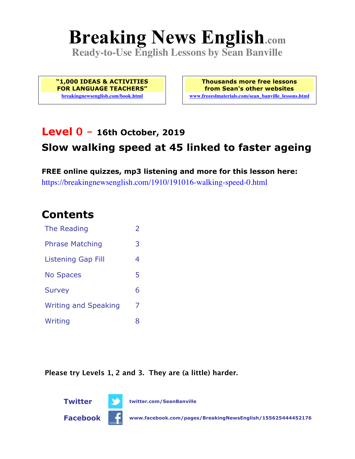# **Breaking News English.com**

**Ready-to-Use English Lessons by Sean Banville**

**"1,000 IDEAS & ACTIVITIES FOR LANGUAGE TEACHERS" breakingnewsenglish.com/book.html**

**Thousands more free lessons from Sean's other websites www.freeeslmaterials.com/sean\_banville\_lessons.html**

### **Level 0 - 16th October, 2019**

### **Slow walking speed at 45 linked to faster ageing**

**FREE online quizzes, mp3 listening and more for this lesson here:** https://breakingnewsenglish.com/1910/191016-walking-speed-0.html

### **Contents**

| The Reading                 | $\overline{\phantom{a}}$ |
|-----------------------------|--------------------------|
| <b>Phrase Matching</b>      | 3                        |
| Listening Gap Fill          | 4                        |
| <b>No Spaces</b>            | 5                        |
| <b>Survey</b>               | 6                        |
| <b>Writing and Speaking</b> | 7                        |
| Writing                     | 8                        |

**Please try Levels 1, 2 and 3. They are (a little) harder.**





**Facebook www.facebook.com/pages/BreakingNewsEnglish/155625444452176**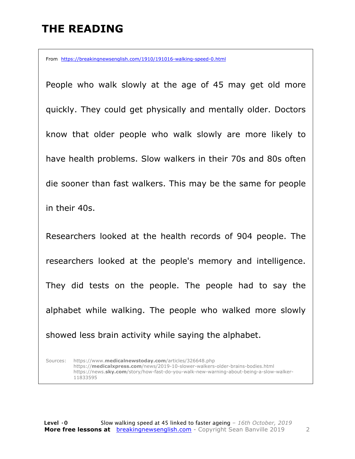# **THE READING**

From https://breakingnewsenglish.com/1910/191016-walking-speed-0.html

People who walk slowly at the age of 45 may get old more quickly. They could get physically and mentally older. Doctors know that older people who walk slowly are more likely to have health problems. Slow walkers in their 70s and 80s often die sooner than fast walkers. This may be the same for people in their 40s.

Researchers looked at the health records of 904 people. The researchers looked at the people's memory and intelligence. They did tests on the people. The people had to say the alphabet while walking. The people who walked more slowly showed less brain activity while saying the alphabet.

Sources: https://www.**medicalnewstoday.com**/articles/326648.php https://**medicalxpress.com**/news/2019-10-slower-walkers-older-brains-bodies.html https://news.**sky.com**/story/how-fast-do-you-walk-new-warning-about-being-a-slow-walker-11833595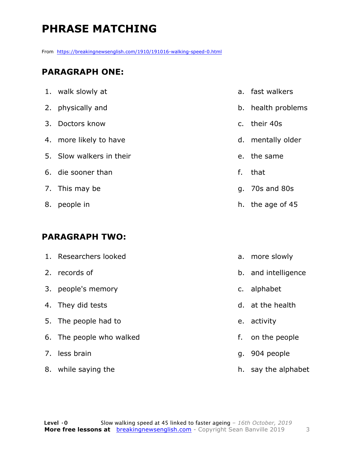# **PHRASE MATCHING**

From https://breakingnewsenglish.com/1910/191016-walking-speed-0.html

#### **PARAGRAPH ONE:**

|    | 1. walk slowly at        |    | a. fast walkers    |
|----|--------------------------|----|--------------------|
|    | 2. physically and        |    | b. health problems |
|    | 3. Doctors know          |    | c. their 40s       |
|    | 4. more likely to have   |    | d. mentally older  |
|    | 5. Slow walkers in their |    | e. the same        |
|    | 6. die sooner than       | f. | that               |
|    | 7. This may be           |    | q. 70s and 80s     |
| 8. | people in                |    | h. the age of 45   |

#### **PARAGRAPH TWO:**

|    | 1. Researchers looked    |    | a. more slowly      |
|----|--------------------------|----|---------------------|
|    | 2. records of            |    | b. and intelligence |
| 3. | people's memory          |    | c. alphabet         |
|    | 4. They did tests        |    | d. at the health    |
|    | 5. The people had to     |    | e. activity         |
|    | 6. The people who walked | f. | on the people       |
|    | 7. less brain            |    | g. 904 people       |
|    | 8. while saying the      |    | h. say the alphabet |
|    |                          |    |                     |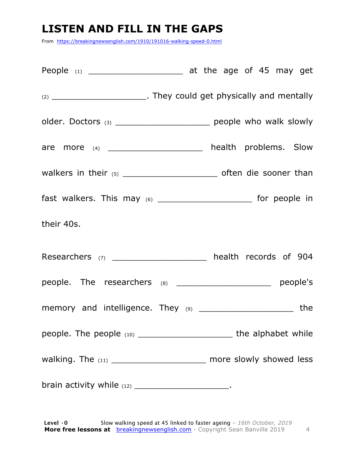# **LISTEN AND FILL IN THE GAPS**

From https://breakingnewsenglish.com/1910/191016-walking-speed-0.html

| (2) ________________________________. They could get physically and mentally |     |
|------------------------------------------------------------------------------|-----|
| older. Doctors (3) _________________________ people who walk slowly          |     |
| are more (4) _____________________ health problems. Slow                     |     |
|                                                                              |     |
| fast walkers. This may (6) _________________________ for people in           |     |
| their 40s.                                                                   |     |
| Researchers (7) ______________________ health records of 904                 |     |
| people. The researchers $(8)$ _______________________ people's               |     |
| memory and intelligence. They (9) __________________________                 | the |
|                                                                              |     |
| walking. The $_{(11)}$ ___________________________ more slowly showed less   |     |
|                                                                              |     |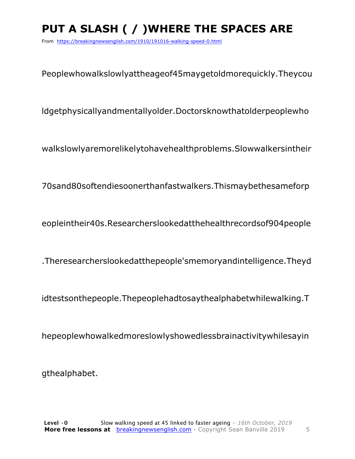# **PUT A SLASH ( / )WHERE THE SPACES ARE**

From https://breakingnewsenglish.com/1910/191016-walking-speed-0.html

Peoplewhowalkslowlyattheageof45maygetoldmorequickly.Theycou

ldgetphysicallyandmentallyolder.Doctorsknowthatolderpeoplewho

walkslowlyaremorelikelytohavehealthproblems.Slowwalkersintheir

70sand80softendiesoonerthanfastwalkers.Thismaybethesameforp

eopleintheir40s.Researcherslookedatthehealthrecordsof904people

.Theresearcherslookedatthepeople'smemoryandintelligence.Theyd

idtestsonthepeople.Thepeoplehadtosaythealphabetwhilewalking.T

hepeoplewhowalkedmoreslowlyshowedlessbrainactivitywhilesayin

gthealphabet.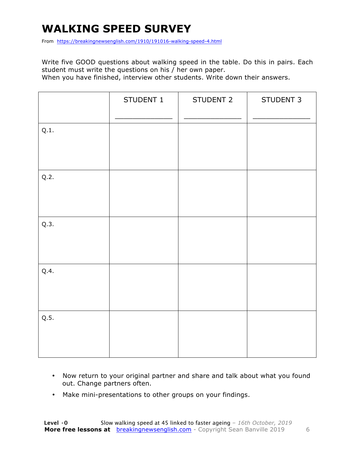## **WALKING SPEED SURVEY**

From https://breakingnewsenglish.com/1910/191016-walking-speed-4.html

Write five GOOD questions about walking speed in the table. Do this in pairs. Each student must write the questions on his / her own paper.

When you have finished, interview other students. Write down their answers.

|      | STUDENT 1 | STUDENT 2 | STUDENT 3 |
|------|-----------|-----------|-----------|
| Q.1. |           |           |           |
| Q.2. |           |           |           |
| Q.3. |           |           |           |
| Q.4. |           |           |           |
| Q.5. |           |           |           |

- Now return to your original partner and share and talk about what you found out. Change partners often.
- Make mini-presentations to other groups on your findings.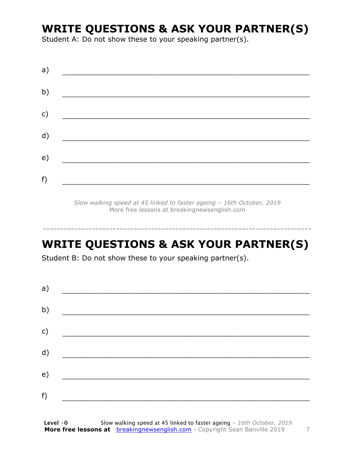### **WRITE QUESTIONS & ASK YOUR PARTNER(S)**

Student A: Do not show these to your speaking partner(s).

| a) |  |  |
|----|--|--|
| b) |  |  |
| c) |  |  |
| d) |  |  |
| e) |  |  |
| f) |  |  |
|    |  |  |

*Slow walking speed at 45 linked to faster ageing – 16th October, 2019* More free lessons at breakingnewsenglish.com

### **WRITE QUESTIONS & ASK YOUR PARTNER(S)**

-----------------------------------------------------------------------------

Student B: Do not show these to your speaking partner(s).

| a) |  |  |
|----|--|--|
| b) |  |  |
| c) |  |  |
| d) |  |  |
| e) |  |  |
| f) |  |  |
|    |  |  |

**Level ·0** Slow walking speed at 45 linked to faster ageing *– 16th October, 2019* **More free lessons at** breakingnewsenglish.com - Copyright Sean Banville 2019 7